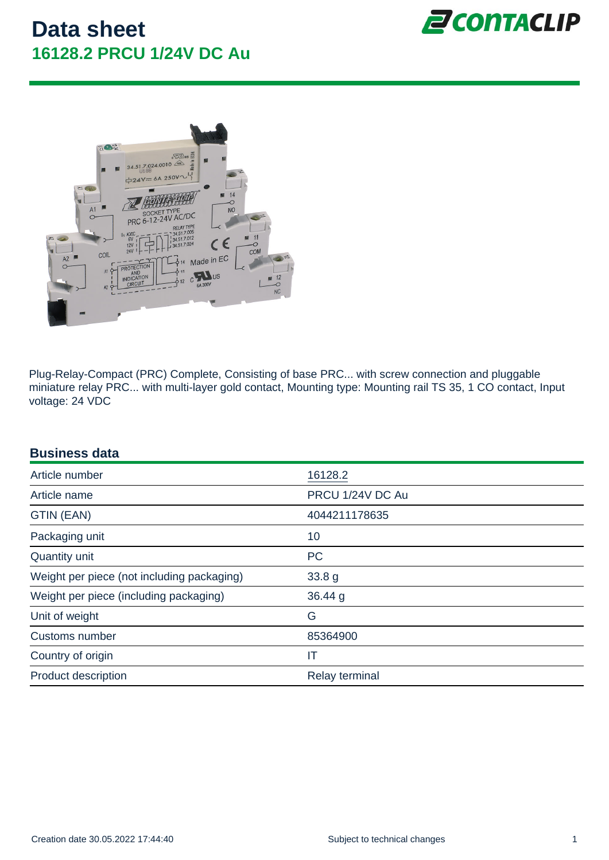Plug-Relay-Compact (PRC) Complete, Consisting of base PRC... with screw connection and pluggable miniature relay PRC... with multi-layer gold contact, Mounting type: Mounting rail TS 35, 1 CO contact, Input voltage: 24 VDC

| <b>Business data</b>                       |                  |
|--------------------------------------------|------------------|
| Article number                             | 16128.2          |
| Article name                               | PRCU 1/24V DC Au |
| GTIN (EAN)                                 | 4044211178635    |
| Packaging unit                             | 10               |
| <b>Quantity unit</b>                       | <b>PC</b>        |
| Weight per piece (not including packaging) | 33.8 g           |
| Weight per piece (including packaging)     | 36.44 g          |
| Unit of weight                             | G                |
| <b>Customs number</b>                      | 85364900         |
| Country of origin                          | IT               |
| <b>Product description</b>                 | Relay terminal   |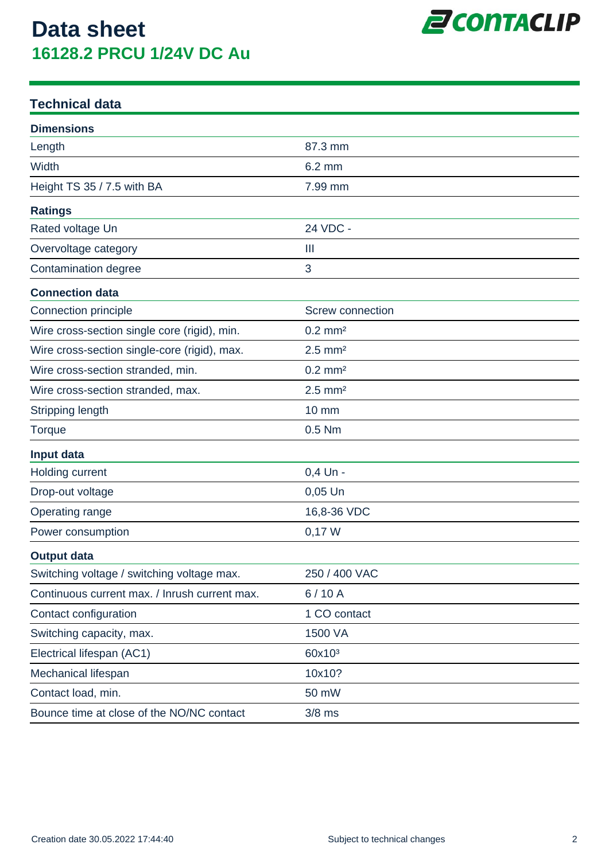

### **Technical data**

| <b>Dimensions</b>                             |                         |
|-----------------------------------------------|-------------------------|
| Length                                        | 87.3 mm                 |
| Width                                         | $6.2 \text{ mm}$        |
| Height TS 35 / 7.5 with BA                    | 7.99 mm                 |
| <b>Ratings</b>                                |                         |
| Rated voltage Un                              | 24 VDC -                |
| Overvoltage category                          | Ш                       |
| Contamination degree                          | 3                       |
| <b>Connection data</b>                        |                         |
| Connection principle                          | <b>Screw connection</b> |
| Wire cross-section single core (rigid), min.  | $0.2$ mm <sup>2</sup>   |
| Wire cross-section single-core (rigid), max.  | $2.5$ mm <sup>2</sup>   |
| Wire cross-section stranded, min.             | $0.2$ mm <sup>2</sup>   |
| Wire cross-section stranded, max.             | $2.5$ mm <sup>2</sup>   |
| Stripping length                              | <b>10 mm</b>            |
| <b>Torque</b>                                 | $0.5$ Nm                |
| Input data                                    |                         |
| Holding current                               | 0,4 Un -                |
| Drop-out voltage                              | $0,05$ Un               |
| Operating range                               | 16,8-36 VDC             |
| Power consumption                             | 0,17 W                  |
| <b>Output data</b>                            |                         |
| Switching voltage / switching voltage max.    | 250 / 400 VAC           |
| Continuous current max. / Inrush current max. | 6/10A                   |
| Contact configuration                         | 1 CO contact            |
| Switching capacity, max.                      | 1500 VA                 |
| Electrical lifespan (AC1)                     | 60x10 <sup>3</sup>      |
| Mechanical lifespan                           | 10x10?                  |
| Contact load, min.                            | 50 mW                   |
| Bounce time at close of the NO/NC contact     | $3/8$ ms                |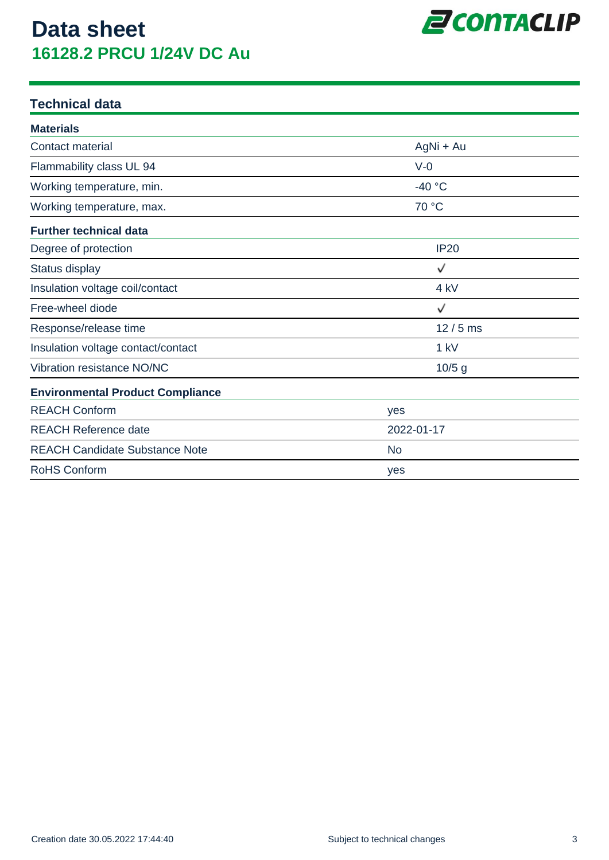

### **Technical data**

| <b>Materials</b>                        |             |
|-----------------------------------------|-------------|
| <b>Contact material</b>                 | AgNi + Au   |
| Flammability class UL 94                | $V-0$       |
| Working temperature, min.               | $-40 °C$    |
| Working temperature, max.               | 70 °C       |
| <b>Further technical data</b>           |             |
| Degree of protection                    | <b>IP20</b> |
| Status display                          | ✓           |
| Insulation voltage coil/contact         | 4 kV        |
| Free-wheel diode                        | ✓           |
| Response/release time                   | $12/5$ ms   |
| Insulation voltage contact/contact      | 1 kV        |
| Vibration resistance NO/NC              | $10/5$ g    |
| <b>Environmental Product Compliance</b> |             |
| <b>REACH Conform</b>                    | yes         |
| <b>REACH Reference date</b>             | 2022-01-17  |
| <b>REACH Candidate Substance Note</b>   | <b>No</b>   |
| <b>RoHS Conform</b>                     | yes         |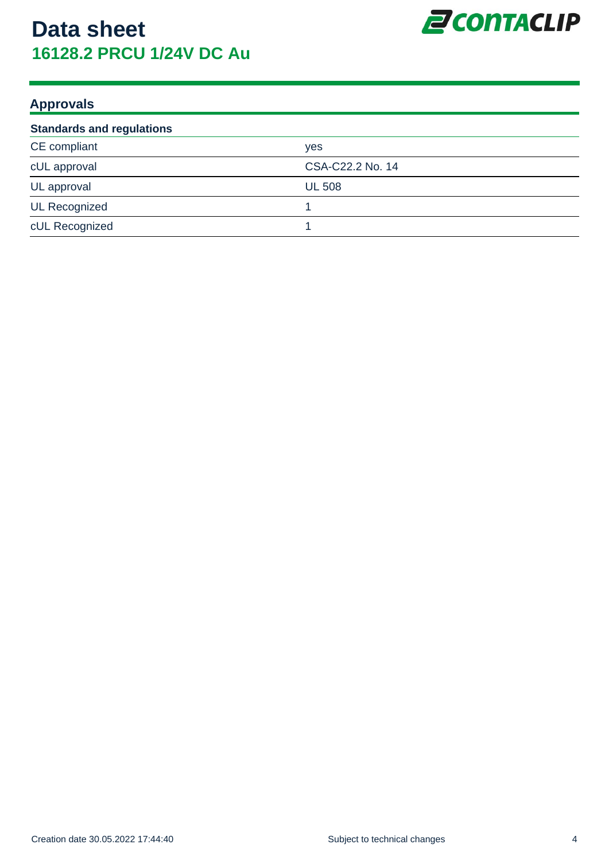

### **Approvals**

| <b>Standards and regulations</b> |                  |  |
|----------------------------------|------------------|--|
| CE compliant                     | <b>ves</b>       |  |
| cUL approval                     | CSA-C22.2 No. 14 |  |
| UL approval                      | <b>UL 508</b>    |  |
| <b>UL Recognized</b>             |                  |  |
| cUL Recognized                   |                  |  |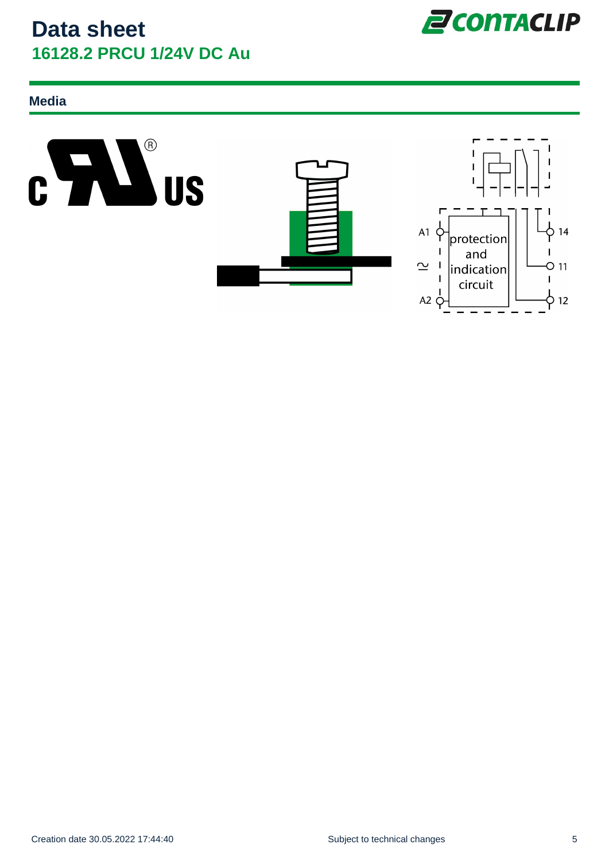

### **Media**